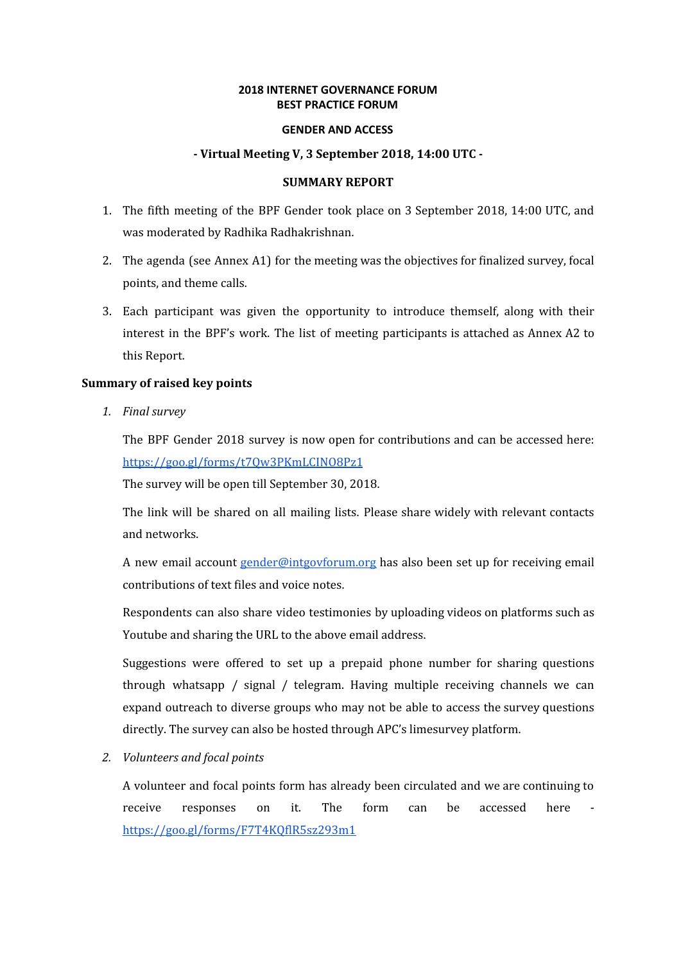# **2018 INTERNET GOVERNANCE FORUM BEST PRACTICE FORUM**

#### **GENDER AND ACCESS**

## **- Virtual Meeting V, 3 September 2018, 14:00 UTC -**

## **SUMMARY REPORT**

- 1. The fifth meeting of the BPF Gender took place on 3 September 2018, 14:00 UTC, and was moderated by Radhika Radhakrishnan.
- 2. The agenda (see Annex A1) for the meeting was the objectives for finalized survey, focal points, and theme calls.
- 3. Each participant was given the opportunity to introduce themself, along with their interest in the BPF's work. The list of meeting participants is attached as Annex A2 to this Report.

#### **Summary of raised key points**

*1. Final survey*

The BPF Gender 2018 survey is now open for contributions and can be accessed here: <https://goo.gl/forms/t7Qw3PKmLCINO8Pz1>

The survey will be open till September 30, 2018.

The link will be shared on all mailing lists. Please share widely with relevant contacts and networks.

A new email account [gender@intgovforum.org](mailto:gender@intgovforum.org) has also been set up for receiving email contributions of text files and voice notes.

Respondents can also share video testimonies by uploading videos on platforms such as Youtube and sharing the URL to the above email address.

Suggestions were offered to set up a prepaid phone number for sharing questions through whatsapp / signal / telegram. Having multiple receiving channels we can expand outreach to diverse groups who may not be able to access the survey questions directly. The survey can also be hosted through APC's limesurvey platform.

*2. Volunteers and focal points*

A volunteer and focal points form has already been circulated and we are continuing to receive responses on it. The form can be accessed here <https://goo.gl/forms/F7T4KQflR5sz293m1>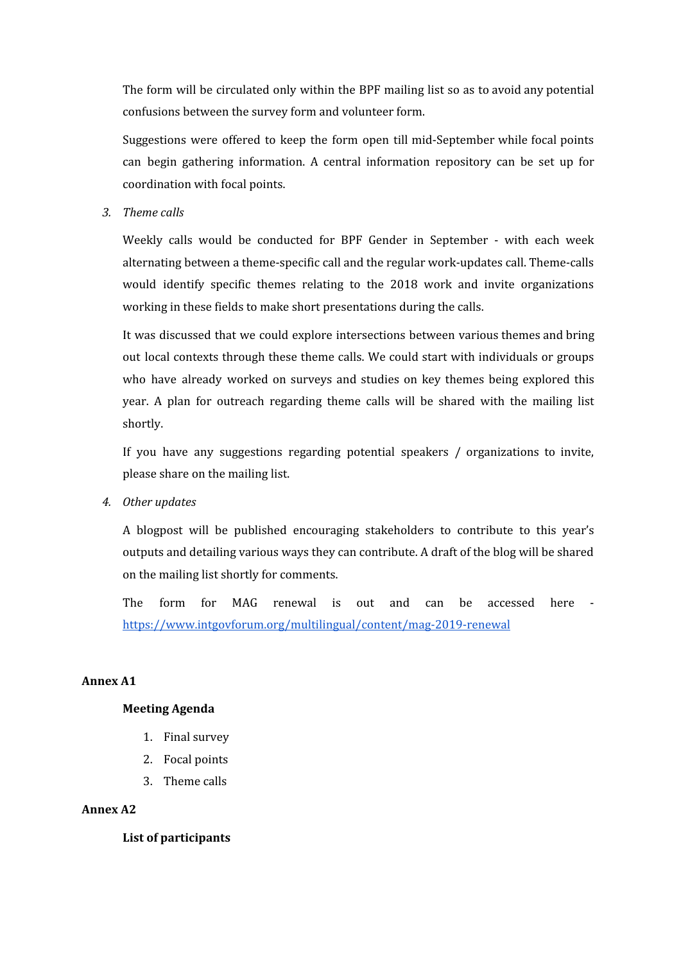The form will be circulated only within the BPF mailing list so as to avoid any potential confusions between the survey form and volunteer form.

Suggestions were offered to keep the form open till mid-September while focal points can begin gathering information. A central information repository can be set up for coordination with focal points.

*3. Theme calls*

Weekly calls would be conducted for BPF Gender in September - with each week alternating between a theme-specific call and the regular work-updates call. Theme-calls would identify specific themes relating to the 2018 work and invite organizations working in these fields to make short presentations during the calls.

It was discussed that we could explore intersections between various themes and bring out local contexts through these theme calls. We could start with individuals or groups who have already worked on surveys and studies on key themes being explored this year. A plan for outreach regarding theme calls will be shared with the mailing list shortly.

If you have any suggestions regarding potential speakers / organizations to invite, please share on the mailing list.

*4. Other updates*

A blogpost will be published encouraging stakeholders to contribute to this year's outputs and detailing various ways they can contribute. A draft of the blog will be shared on the mailing list shortly for comments.

The form for MAG renewal is out and can be accessed here <https://www.intgovforum.org/multilingual/content/mag-2019-renewal>

# **Annex A1**

## **Meeting Agenda**

- 1. Final survey
- 2. Focal points
- 3. Theme calls

## **Annex A2**

**List of participants**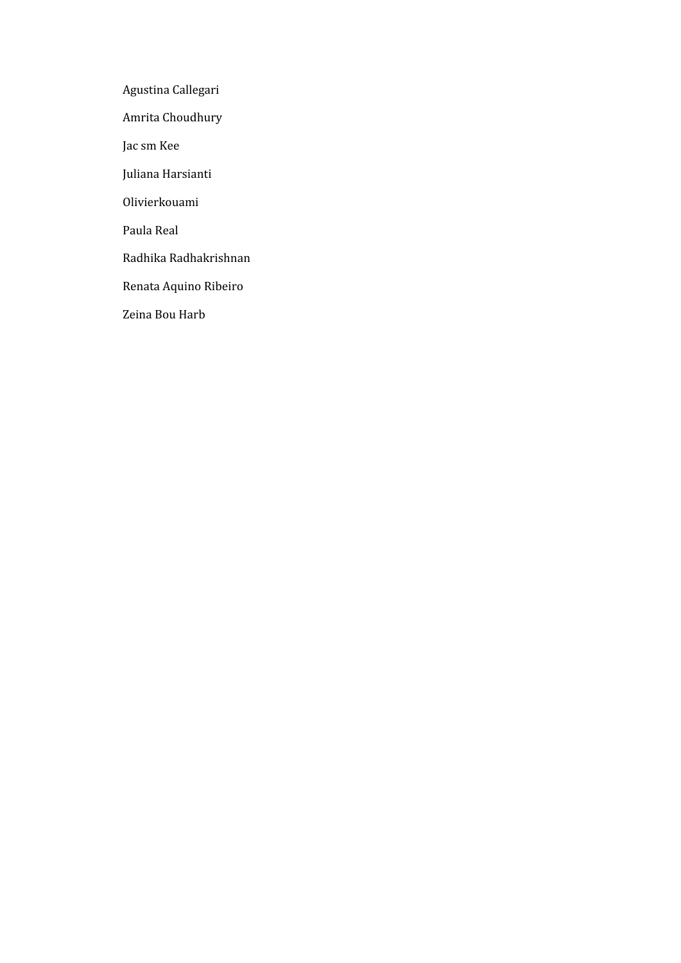Agustina Callegari

Amrita Choudhury

Jac sm Kee

Juliana Harsianti

Olivierkouami

Paula Real

Radhika Radhakrishnan

Renata Aquino Ribeiro

Zeina Bou Harb